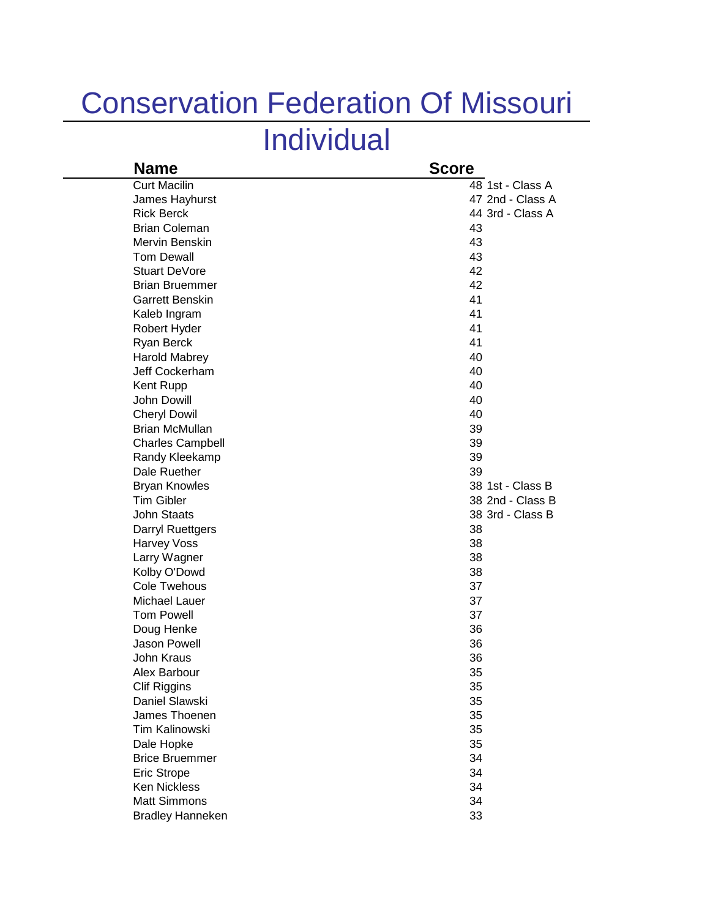## Conservation Federation Of Missouri

## Individual

| <b>Score</b>     |
|------------------|
| 48 1st - Class A |
| 47 2nd - Class A |
| 44 3rd - Class A |
| 43               |
| 43               |
| 43               |
| 42               |
| 42               |
| 41               |
| 41               |
| 41               |
| 41               |
| 40               |
| 40               |
| 40               |
| 40               |
| 40               |
| 39               |
| 39               |
| 39               |
| 39               |
| 38 1st - Class B |
| 38 2nd - Class B |
| 38 3rd - Class B |
| 38               |
| 38               |
| 38               |
| 38               |
| 37               |
| 37               |
| 37               |
| 36               |
| 36               |
| 36               |
| 35               |
| 35               |
| 35               |
| 35               |
| 35               |
| 35               |
| 34               |
| 34               |
| 34               |
| 34               |
| 33               |
|                  |